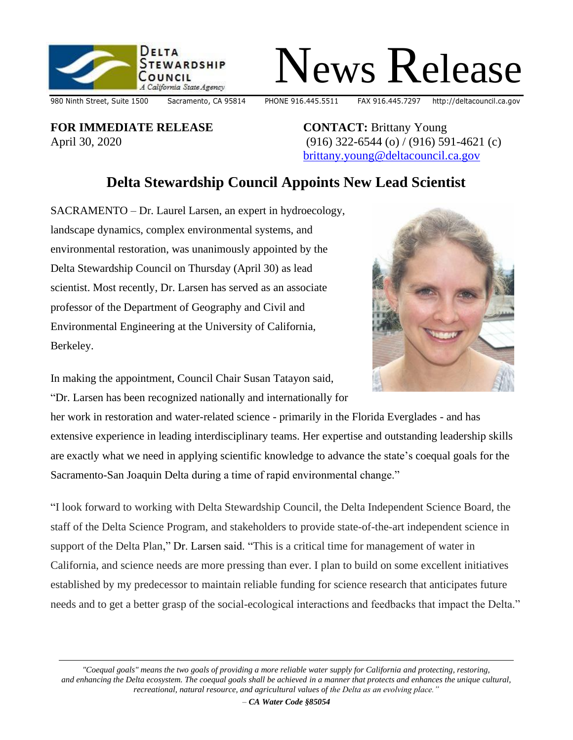



980 Ninth Street, Suite 1500 Sacramento, CA 95814 PHONE 916.445.5511 FAX 916.445.7297 http://deltacouncil.ca.gov

**FOR IMMEDIATE RELEASE** April 30, 2020

**CONTACT:** Brittany Young (916) 322-6544 (o) / (916) 591-4621 (c) [brittany.young@deltacouncil.ca.gov](mailto:brittany.young@deltacouncil.ca.gov)

## **Delta Stewardship Council Appoints New Lead Scientist**

SACRAMENTO – Dr. Laurel Larsen, an expert in hydroecology, landscape dynamics, complex environmental systems, and environmental restoration, was unanimously appointed by the Delta Stewardship Council on Thursday (April 30) as lead scientist. Most recently, Dr. Larsen has served as an associate professor of the Department of Geography and Civil and Environmental Engineering at the University of California, Berkeley.



In making the appointment, Council Chair Susan Tatayon said, "Dr. Larsen has been recognized nationally and internationally for

her work in restoration and water-related science - primarily in the Florida Everglades - and has extensive experience in leading interdisciplinary teams. Her expertise and outstanding leadership skills are exactly what we need in applying scientific knowledge to advance the state's coequal goals for the Sacramento-San Joaquin Delta during a time of rapid environmental change."

"I look forward to working with Delta Stewardship Council, the Delta Independent Science Board, the staff of the Delta Science Program, and stakeholders to provide state-of-the-art independent science in support of the Delta Plan," Dr. Larsen said. "This is a critical time for management of water in California, and science needs are more pressing than ever. I plan to build on some excellent initiatives established by my predecessor to maintain reliable funding for science research that anticipates future needs and to get a better grasp of the social-ecological interactions and feedbacks that impact the Delta."

*"Coequal goals" means the two goals of providing a more reliable water supply for California and protecting, restoring, and enhancing the Delta ecosystem. The coequal goals shall be achieved in a manner that protects and enhances the unique cultural, recreational, natural resource, and agricultural values of the Delta as an evolving place."*